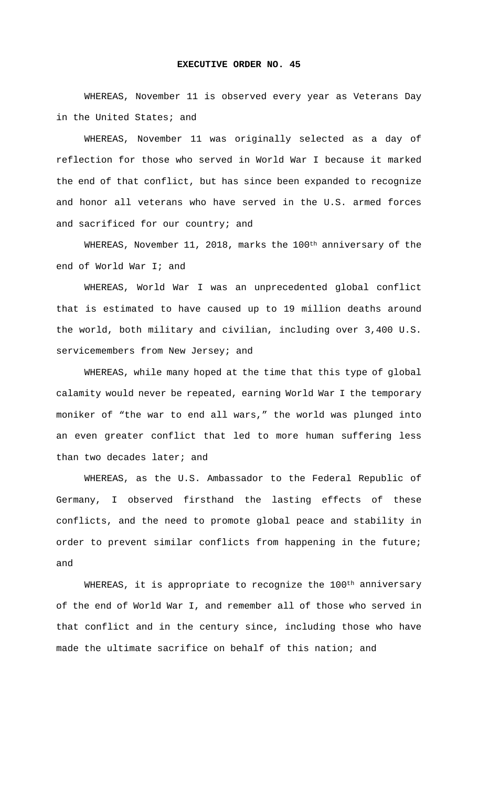## **EXECUTIVE ORDER NO. 45**

WHEREAS, November 11 is observed every year as Veterans Day in the United States; and

WHEREAS, November 11 was originally selected as a day of reflection for those who served in World War I because it marked the end of that conflict, but has since been expanded to recognize and honor all veterans who have served in the U.S. armed forces and sacrificed for our country; and

WHEREAS, November 11, 2018, marks the 100<sup>th</sup> anniversary of the end of World War I; and

WHEREAS, World War I was an unprecedented global conflict that is estimated to have caused up to 19 million deaths around the world, both military and civilian, including over 3,400 U.S. servicemembers from New Jersey; and

WHEREAS, while many hoped at the time that this type of global calamity would never be repeated, earning World War I the temporary moniker of "the war to end all wars," the world was plunged into an even greater conflict that led to more human suffering less than two decades later; and

WHEREAS, as the U.S. Ambassador to the Federal Republic of Germany, I observed firsthand the lasting effects of these conflicts, and the need to promote global peace and stability in order to prevent similar conflicts from happening in the future; and

WHEREAS, it is appropriate to recognize the 100<sup>th</sup> anniversary of the end of World War I, and remember all of those who served in that conflict and in the century since, including those who have made the ultimate sacrifice on behalf of this nation; and